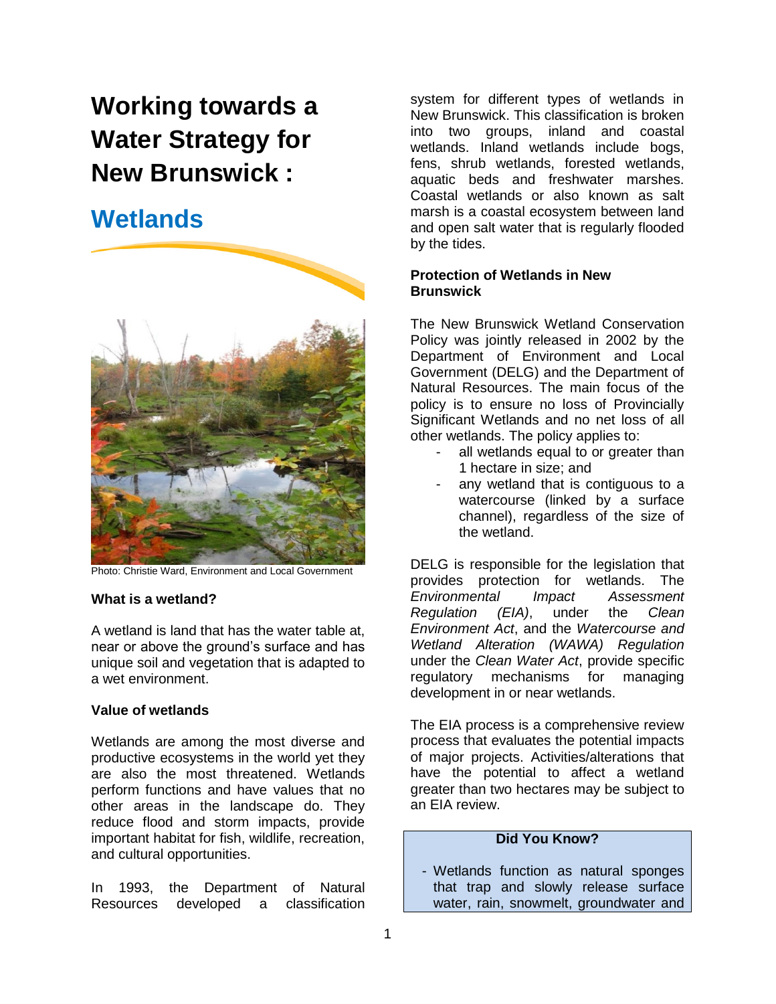# **Working towards a Water Strategy for New Brunswick :**

# **Wetlands**



Photo: Christie Ward, Environment and Local Government

#### **What is a wetland?**

A wetland is land that has the water table at, near or above the ground's surface and has unique soil and vegetation that is adapted to a wet environment.

## **Value of wetlands**

Wetlands are among the most diverse and productive ecosystems in the world yet they are also the most threatened. Wetlands perform functions and have values that no other areas in the landscape do. They reduce flood and storm impacts, provide important habitat for fish, wildlife, recreation, and cultural opportunities.

In 1993, the Department of Natural Resources developed a classification

system for different types of wetlands in New Brunswick. This classification is broken into two groups, inland and coastal wetlands. Inland wetlands include bogs, fens, shrub wetlands, forested wetlands, aquatic beds and freshwater marshes. Coastal wetlands or also known as salt marsh is a coastal ecosystem between land and open salt water that is regularly flooded by the tides.

## **Protection of Wetlands in New Brunswick**

The New Brunswick Wetland Conservation Policy was jointly released in 2002 by the Department of Environment and Local Government (DELG) and the Department of Natural Resources. The main focus of the policy is to ensure no loss of Provincially Significant Wetlands and no net loss of all other wetlands. The policy applies to:

- all wetlands equal to or greater than 1 hectare in size; and
- any wetland that is contiguous to a watercourse (linked by a surface channel), regardless of the size of the wetland.

DELG is responsible for the legislation that provides protection for wetlands. The *Environmental Impact Assessment Regulation (EIA)*, under the *Clean Environment Act*, and the *Watercourse and Wetland Alteration (WAWA) Regulation*  under the *Clean Water Act*, provide specific regulatory mechanisms for managing development in or near wetlands.

The EIA process is a comprehensive review process that evaluates the potential impacts of major projects. Activities/alterations that have the potential to affect a wetland greater than two hectares may be subject to an EIA review.

# **Did You Know?**

- Wetlands function as natural sponges that trap and slowly release surface water, rain, snowmelt, groundwater and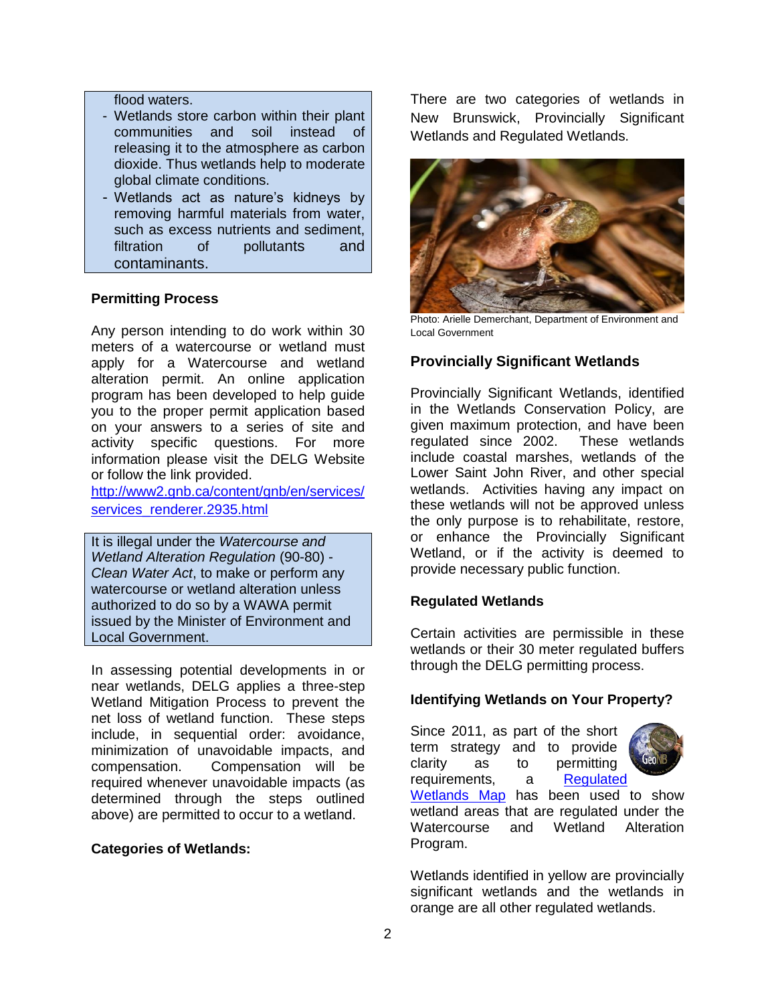#### flood waters.

- Wetlands store carbon within their plant communities and soil instead of releasing it to the atmosphere as carbon dioxide. Thus wetlands help to moderate global climate conditions.
- Wetlands act as nature's kidneys by removing harmful materials from water, such as excess nutrients and sediment, filtration of pollutants and contaminants.

#### **Permitting Process**

Any person intending to do work within 30 meters of a watercourse or wetland must apply for a Watercourse and wetland alteration permit. An online application program has been developed to help guide you to the proper permit application based on your answers to a series of site and activity specific questions. For more information please visit the DELG Website or follow the link provided.

[http://www2.gnb.ca/content/gnb/en/services/](http://www2.gnb.ca/content/gnb/en/services/services_renderer.2935.html) [services\\_renderer.2935.html](http://www2.gnb.ca/content/gnb/en/services/services_renderer.2935.html)

It is illegal under the *Watercourse and Wetland Alteration Regulation* (90-80) - *Clean Water Act*, to make or perform any watercourse or wetland alteration unless authorized to do so by a WAWA permit issued by the Minister of Environment and Local Government.

In assessing potential developments in or near wetlands, DELG applies a three-step Wetland Mitigation Process to prevent the net loss of wetland function. These steps include, in sequential order: avoidance, minimization of unavoidable impacts, and compensation. Compensation will be required whenever unavoidable impacts (as determined through the steps outlined above) are permitted to occur to a wetland.

#### **Categories of Wetlands:**

There are two categories of wetlands in New Brunswick, Provincially Significant Wetlands and Regulated Wetlands.



Photo: Arielle Demerchant, Department of Environment and Local Government

# **Provincially Significant Wetlands**

Provincially Significant Wetlands, identified in the Wetlands Conservation Policy, are given maximum protection, and have been regulated since 2002. These wetlands include coastal marshes, wetlands of the Lower Saint John River, and other special wetlands. Activities having any impact on these wetlands will not be approved unless the only purpose is to rehabilitate, restore, or enhance the Provincially Significant Wetland, or if the activity is deemed to provide necessary public function.

#### **Regulated Wetlands**

Certain activities are permissible in these wetlands or their 30 meter regulated buffers through the DELG permitting process.

#### **Identifying Wetlands on Your Property?**

Since 2011, as part of the short term strategy and to provide clarity as to permitting requirements, a [Regulated](http://geonb.snb.ca/geonb/) 



[Wetlands Map](http://geonb.snb.ca/geonb/) has been used to show wetland areas that are regulated under the Watercourse and Wetland Alteration Program.

Wetlands identified in yellow are provincially significant wetlands and the wetlands in orange are all other regulated wetlands.